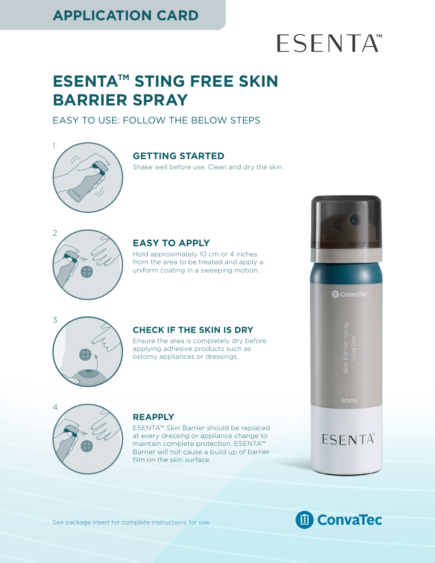### **APPLICATION CARD**

# **ESENTA**<sup>™</sup>

ConvaTec

50mL

ESENTA®

## **ESENTA™ STING FREE SKIN BARRIER SPRAY**

#### EASY TO USE: FOLLOW THE BELOW STEPS



#### **GETTING STARTED**

Shake well before use. Clean and dry the skin.



#### **EASY TO APPLY**

Hold approximately 10 cm or 4 inches from the area to be treated and apply a uniform coating in a sweeping motion.



#### **CHECK IF THE SKIN IS DRY**

Ensure the area is completely dry before applying adhesive products such as ostomy appliances or dressings.



#### **REAPPLY**

ESENTA™ Skin Barrier should be replaced at every dressing or appliance change to maintain complete protection. ESENTA™ Barrier will not cause a build up of barrier film on the skin surface.



See package insert for complete instructions for use.